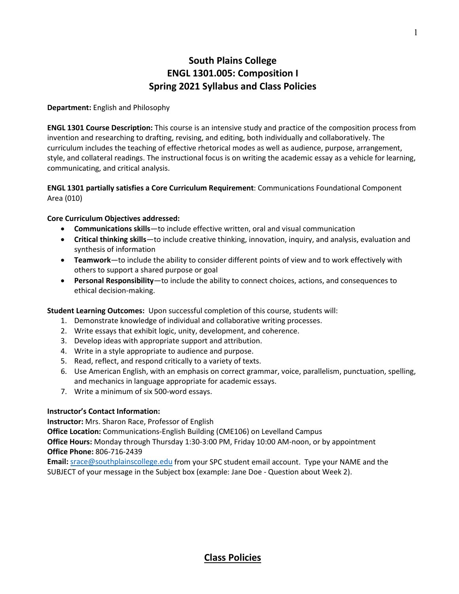# **South Plains College ENGL 1301.005: Composition I Spring 2021 Syllabus and Class Policies**

#### **Department:** English and Philosophy

**ENGL 1301 Course Description:** This course is an intensive study and practice of the composition process from invention and researching to drafting, revising, and editing, both individually and collaboratively. The curriculum includes the teaching of effective rhetorical modes as well as audience, purpose, arrangement, style, and collateral readings. The instructional focus is on writing the academic essay as a vehicle for learning, communicating, and critical analysis.

#### **ENGL 1301 partially satisfies a Core Curriculum Requirement**: Communications Foundational Component Area (010)

#### **Core Curriculum Objectives addressed:**

- **Communications skills**—to include effective written, oral and visual communication
- **Critical thinking skills**—to include creative thinking, innovation, inquiry, and analysis, evaluation and synthesis of information
- **Teamwork**—to include the ability to consider different points of view and to work effectively with others to support a shared purpose or goal
- **Personal Responsibility**—to include the ability to connect choices, actions, and consequences to ethical decision-making.

**Student Learning Outcomes:** Upon successful completion of this course, students will:

- 1. Demonstrate knowledge of individual and collaborative writing processes.
- 2. Write essays that exhibit logic, unity, development, and coherence.
- 3. Develop ideas with appropriate support and attribution.
- 4. Write in a style appropriate to audience and purpose.
- 5. Read, reflect, and respond critically to a variety of texts.
- 6. Use American English, with an emphasis on correct grammar, voice, parallelism, punctuation, spelling, and mechanics in language appropriate for academic essays.
- 7. Write a minimum of six 500-word essays.

#### **Instructor's Contact Information:**

**Instructor:** Mrs. Sharon Race, Professor of English

**Office Location:** Communications-English Building (CME106) on Levelland Campus

**Office Hours:** Monday through Thursday 1:30-3:00 PM, Friday 10:00 AM-noon, or by appointment **Office Phone:** 806-716-2439

**Email:** [srace@southplainscollege.edu](mailto:srace@southplainscollege.edu) from your SPC student email account. Type your NAME and the SUBJECT of your message in the Subject box (example: Jane Doe - Question about Week 2).

## **Class Policies**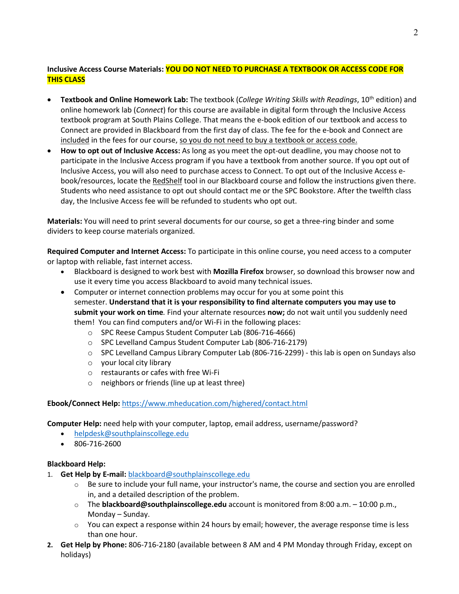## **Inclusive Access Course Materials: YOU DO NOT NEED TO PURCHASE A TEXTBOOK OR ACCESS CODE FOR THIS CLASS**

- **Textbook and Online Homework Lab:** The textbook (*College Writing Skills with Readings*, 10th edition) and online homework lab (*Connect*) for this course are available in digital form through the Inclusive Access textbook program at South Plains College. That means the e-book edition of our textbook and access to Connect are provided in Blackboard from the first day of class. The fee for the e-book and Connect are included in the fees for our course, so you do not need to buy a textbook or access code.
- **How to opt out of Inclusive Access:** As long as you meet the opt-out deadline, you may choose not to participate in the Inclusive Access program if you have a textbook from another source. If you opt out of Inclusive Access, you will also need to purchase access to Connect. To opt out of the Inclusive Access ebook/resources, locate the RedShelf tool in our Blackboard course and follow the instructions given there. Students who need assistance to opt out should contact me or the SPC Bookstore. After the twelfth class day, the Inclusive Access fee will be refunded to students who opt out.

**Materials:** You will need to print several documents for our course, so get a three-ring binder and some dividers to keep course materials organized.

**Required Computer and Internet Access:** To participate in this online course, you need access to a computer or laptop with reliable, fast internet access.

- Blackboard is designed to work best with **Mozilla Firefox** browser, so download this browser now and use it every time you access Blackboard to avoid many technical issues.
- Computer or internet connection problems may occur for you at some point this semester. **Understand that it is your responsibility to find alternate computers you may use to submit your work on time***.* Find your alternate resources **now;** do not wait until you suddenly need them! You can find computers and/or Wi-Fi in the following places:
	- o SPC Reese Campus Student Computer Lab (806-716-4666)
	- o SPC Levelland Campus Student Computer Lab (806-716-2179)
	- o SPC Levelland Campus Library Computer Lab (806-716-2299) this lab is open on Sundays also
	- o your local city library
	- o restaurants or cafes with free Wi-Fi
	- o neighbors or friends (line up at least three)

#### **Ebook/Connect Help:** <https://www.mheducation.com/highered/contact.html>

**Computer Help:** need help with your computer, laptop, email address, username/password?

- [helpdesk@southplainscollege.edu](mailto:helpdesk@southplainscollege.edu)
- 806-716-2600

#### **Blackboard Help:**

- 1. **Get Help by E-mail:** [blackboard@southplainscollege.edu](mailto:blackboard@southplainscollege.edu)
	- $\circ$  Be sure to include your full name, your instructor's name, the course and section you are enrolled in, and a detailed description of the problem.
	- o The **blackboard@southplainscollege.edu** account is monitored from 8:00 a.m. 10:00 p.m., Monday – Sunday.
	- $\circ$  You can expect a response within 24 hours by email; however, the average response time is less than one hour.
- **2. Get Help by Phone:** 806-716-2180 (available between 8 AM and 4 PM Monday through Friday, except on holidays)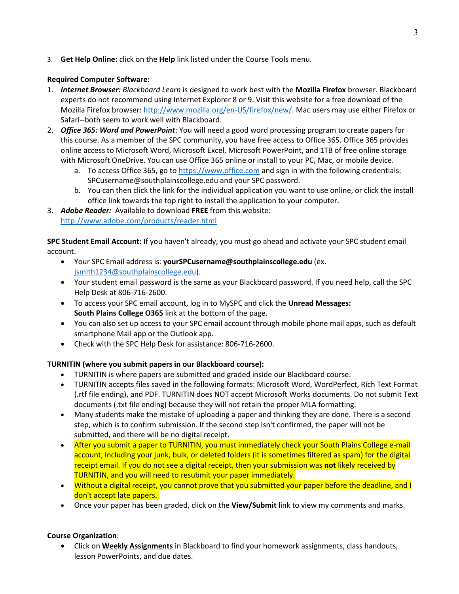3. **Get Help Online:** click on the **Help** link listed under the Course Tools menu.

### **Required Computer Software:**

- 1. *Internet Browser: Blackboard Learn* is designed to work best with the **Mozilla Firefox** browser. Blackboard experts do not recommend using Internet Explorer 8 or 9. Visit this website for a free download of the Mozilla Firefox browser: [http://www.mozilla.org/en-US/firefox/new/.](http://www.mozilla.org/en-US/firefox/new/) Mac users may use either Firefox or Safari--both seem to work well with Blackboard.
- 2. *Office 365: Word and PowerPoint*: You will need a good word processing program to create papers for this course. As a member of the SPC community, you have free access to Office 365. Office 365 provides online access to Microsoft Word, Microsoft Excel, Microsoft PowerPoint, and 1TB of free online storage with Microsoft OneDrive. You can use Office 365 online or install to your PC, Mac, or mobile device.
	- a. To access Office 365, go to [https://www.office.com](https://www.office.com/) and sign in with the following credentials: SPCusername@southplainscollege.edu and your SPC password.
	- b. You can then click the link for the individual application you want to use online, or click the install office link towards the top right to install the application to your computer.
- 3. *Adobe Reader:* Available to download **FREE** from this website: <http://www.adobe.com/products/reader.html>

**SPC Student Email Account:** If you haven't already, you must go ahead and activate your SPC student email account.

- Your SPC Email address is: **yourSPCusername@southplainscollege.edu** (ex. [jsmith1234@southplainscollege.edu\)](mailto:jsmith1234@southplainscollege.edu).
- Your student email password is the same as your Blackboard password. If you need help, call the SPC Help Desk at 806-716-2600.
- To access your SPC email account, log in to MySPC and click the **Unread Messages: South Plains College O365** link at the bottom of the page.
- You can also set up access to your SPC email account through mobile phone mail apps, such as default smartphone Mail app or the Outlook app.
- Check with the SPC Help Desk for assistance: 806-716-2600.

### **TURNITIN (where you submit papers in our Blackboard course):**

- TURNITIN is where papers are submitted and graded inside our Blackboard course.
- TURNITIN accepts files saved in the following formats: Microsoft Word, WordPerfect, Rich Text Format (.rtf file ending), and PDF. TURNITIN does NOT accept Microsoft Works documents. Do not submit Text documents (.txt file ending) because they will not retain the proper MLA formatting.
- Many students make the mistake of uploading a paper and thinking they are done. There is a second step, which is to confirm submission. If the second step isn't confirmed, the paper will not be submitted, and there will be no digital receipt.
- After you submit a paper to TURNITIN, you must immediately check your South Plains College e-mail account, including your junk, bulk, or deleted folders (it is sometimes filtered as spam) for the digital receipt email. If you do not see a digital receipt, then your submission was **not** likely received by TURNITIN, and you will need to resubmit your paper immediately.
- Without a digital receipt, you cannot prove that you submitted your paper before the deadline, and I don't accept late papers.
- Once your paper has been graded, click on the **View/Submit** link to view my comments and marks.

#### **Course Organization**:

• Click on **Weekly Assignments** in Blackboard to find your homework assignments, class handouts, lesson PowerPoints, and due dates.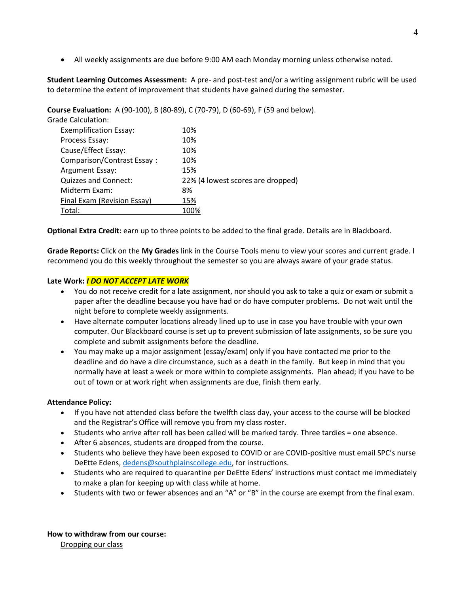• All weekly assignments are due before 9:00 AM each Monday morning unless otherwise noted.

**Student Learning Outcomes Assessment:** A pre- and post-test and/or a writing assignment rubric will be used to determine the extent of improvement that students have gained during the semester.

**Course Evaluation:** A (90-100), B (80-89), C (70-79), D (60-69), F (59 and below).

| <b>Grade Calculation:</b>     |                                   |
|-------------------------------|-----------------------------------|
| <b>Exemplification Essay:</b> | 10%                               |
| Process Essay:                | 10%                               |
| Cause/Effect Essay:           | 10%                               |
| Comparison/Contrast Essay:    | 10%                               |
| <b>Argument Essay:</b>        | 15%                               |
| Quizzes and Connect:          | 22% (4 lowest scores are dropped) |
| Midterm Exam:                 | 8%                                |
| Final Exam (Revision Essay)   | 15%                               |
| Total:                        |                                   |

**Optional Extra Credit:** earn up to three points to be added to the final grade. Details are in Blackboard.

**Grade Reports:** Click on the **My Grades** link in the Course Tools menu to view your scores and current grade. I recommend you do this weekly throughout the semester so you are always aware of your grade status.

#### **Late Work:** *I DO NOT ACCEPT LATE WORK*

- You do not receive credit for a late assignment, nor should you ask to take a quiz or exam or submit a paper after the deadline because you have had or do have computer problems. Do not wait until the night before to complete weekly assignments.
- Have alternate computer locations already lined up to use in case you have trouble with your own computer. Our Blackboard course is set up to prevent submission of late assignments, so be sure you complete and submit assignments before the deadline.
- You may make up a major assignment (essay/exam) only if you have contacted me prior to the deadline and do have a dire circumstance, such as a death in the family. But keep in mind that you normally have at least a week or more within to complete assignments. Plan ahead; if you have to be out of town or at work right when assignments are due, finish them early.

#### **Attendance Policy:**

- If you have not attended class before the twelfth class day, your access to the course will be blocked and the Registrar's Office will remove you from my class roster.
- Students who arrive after roll has been called will be marked tardy. Three tardies = one absence.
- After 6 absences, students are dropped from the course.
- Students who believe they have been exposed to COVID or are COVID-positive must email SPC's nurse DeEtte Edens, [dedens@southplainscollege.edu,](mailto:dedens@southplainscollege.edu) for instructions.
- Students who are required to quarantine per DeEtte Edens' instructions must contact me immediately to make a plan for keeping up with class while at home.
- Students with two or fewer absences and an "A" or "B" in the course are exempt from the final exam.

**How to withdraw from our course:** Dropping our class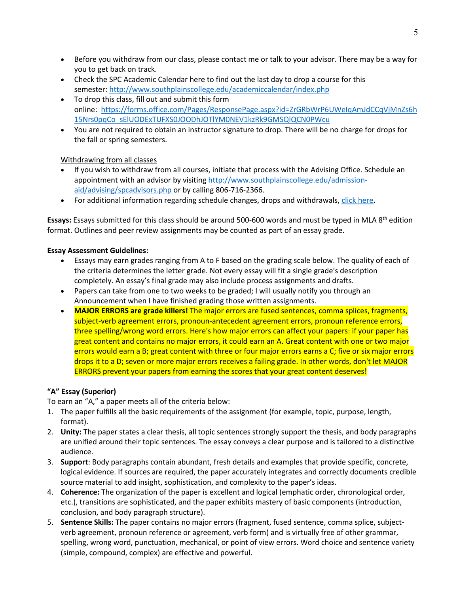- Before you withdraw from our class, please contact me or talk to your advisor. There may be a way for you to get back on track.
- Check the SPC Academic Calendar here to find out the last day to drop a course for this semester: <http://www.southplainscollege.edu/academiccalendar/index.php>
- To drop this class, fill out and submit this form online: [https://forms.office.com/Pages/ResponsePage.aspx?id=ZrGRbWrP6UWeIqAmJdCCqVjMnZs6h](https://forms.office.com/Pages/ResponsePage.aspx?id=ZrGRbWrP6UWeIqAmJdCCqVjMnZs6h15Nrs0pqCo_sElUODExTUFXS0JOODhJOTlYM0NEV1kzRk9GMSQlQCN0PWcu) [15Nrs0pqCo\\_sElUODExTUFXS0JOODhJOTlYM0NEV1kzRk9GMSQlQCN0PWcu](https://forms.office.com/Pages/ResponsePage.aspx?id=ZrGRbWrP6UWeIqAmJdCCqVjMnZs6h15Nrs0pqCo_sElUODExTUFXS0JOODhJOTlYM0NEV1kzRk9GMSQlQCN0PWcu)
- You are not required to obtain an instructor signature to drop. There will be no charge for drops for the fall or spring semesters.

#### Withdrawing from all classes

- If you wish to withdraw from all courses, initiate that process with the Advising Office. Schedule an appointment with an advisor by visiting [http://www.southplainscollege.edu/admission](http://www.southplainscollege.edu/admission-aid/advising/spcadvisors.php)[aid/advising/spcadvisors.php](http://www.southplainscollege.edu/admission-aid/advising/spcadvisors.php) or by calling 806-716-2366.
- For additional information regarding schedule changes, drops and withdrawals, [click here.](http://www.southplainscollege.edu/admission-aid/apply/schedulechanges.php)

Essays: Essays submitted for this class should be around 500-600 words and must be typed in MLA 8<sup>th</sup> edition format. Outlines and peer review assignments may be counted as part of an essay grade.

#### **Essay Assessment Guidelines:**

- Essays may earn grades ranging from A to F based on the grading scale below. The quality of each of the criteria determines the letter grade. Not every essay will fit a single grade's description completely. An essay's final grade may also include process assignments and drafts.
- Papers can take from one to two weeks to be graded; I will usually notify you through an Announcement when I have finished grading those written assignments.
- **MAJOR ERRORS are grade killers!** The major errors are fused sentences, comma splices, fragments, subject-verb agreement errors, pronoun-antecedent agreement errors, pronoun reference errors, three spelling/wrong word errors. Here's how major errors can affect your papers: if your paper has great content and contains no major errors, it could earn an A. Great content with one or two major errors would earn a B; great content with three or four major errors earns a C; five or six major errors drops it to a D; seven or more major errors receives a failing grade. In other words, don't let MAJOR ERRORS prevent your papers from earning the scores that your great content deserves!

### **"A" Essay (Superior)**

To earn an "A," a paper meets all of the criteria below:

- 1. The paper fulfills all the basic requirements of the assignment (for example, topic, purpose, length, format).
- 2. **Unity:** The paper states a clear thesis, all topic sentences strongly support the thesis, and body paragraphs are unified around their topic sentences. The essay conveys a clear purpose and is tailored to a distinctive audience.
- 3. **Support**: Body paragraphs contain abundant, fresh details and examples that provide specific, concrete, logical evidence. If sources are required, the paper accurately integrates and correctly documents credible source material to add insight, sophistication, and complexity to the paper's ideas.
- 4. **Coherence:** The organization of the paper is excellent and logical (emphatic order, chronological order, etc.), transitions are sophisticated, and the paper exhibits mastery of basic components (introduction, conclusion, and body paragraph structure).
- 5. **Sentence Skills:** The paper contains no major errors (fragment, fused sentence, comma splice, subjectverb agreement, pronoun reference or agreement, verb form) and is virtually free of other grammar, spelling, wrong word, punctuation, mechanical, or point of view errors. Word choice and sentence variety (simple, compound, complex) are effective and powerful.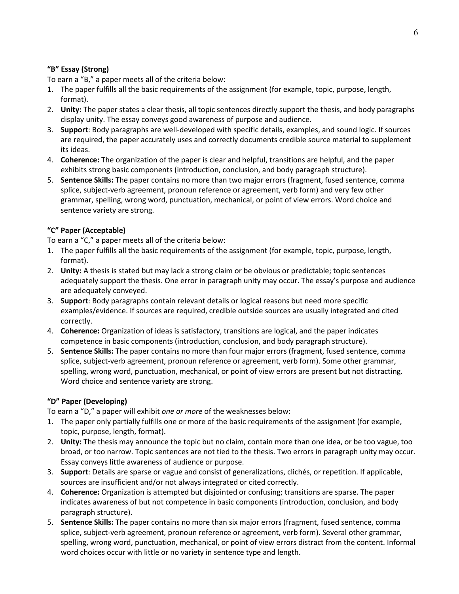#### **"B" Essay (Strong)**

To earn a "B," a paper meets all of the criteria below:

- 1. The paper fulfills all the basic requirements of the assignment (for example, topic, purpose, length, format).
- 2. **Unity:** The paper states a clear thesis, all topic sentences directly support the thesis, and body paragraphs display unity. The essay conveys good awareness of purpose and audience.
- 3. **Support**: Body paragraphs are well-developed with specific details, examples, and sound logic. If sources are required, the paper accurately uses and correctly documents credible source material to supplement its ideas.
- 4. **Coherence:** The organization of the paper is clear and helpful, transitions are helpful, and the paper exhibits strong basic components (introduction, conclusion, and body paragraph structure).
- 5. **Sentence Skills:** The paper contains no more than two major errors (fragment, fused sentence, comma splice, subject-verb agreement, pronoun reference or agreement, verb form) and very few other grammar, spelling, wrong word, punctuation, mechanical, or point of view errors. Word choice and sentence variety are strong.

#### **"C" Paper (Acceptable)**

To earn a "C," a paper meets all of the criteria below:

- 1. The paper fulfills all the basic requirements of the assignment (for example, topic, purpose, length, format).
- 2. **Unity:** A thesis is stated but may lack a strong claim or be obvious or predictable; topic sentences adequately support the thesis. One error in paragraph unity may occur. The essay's purpose and audience are adequately conveyed.
- 3. **Support**: Body paragraphs contain relevant details or logical reasons but need more specific examples/evidence. If sources are required, credible outside sources are usually integrated and cited correctly.
- 4. **Coherence:** Organization of ideas is satisfactory, transitions are logical, and the paper indicates competence in basic components (introduction, conclusion, and body paragraph structure).
- 5. **Sentence Skills:** The paper contains no more than four major errors (fragment, fused sentence, comma splice, subject-verb agreement, pronoun reference or agreement, verb form). Some other grammar, spelling, wrong word, punctuation, mechanical, or point of view errors are present but not distracting. Word choice and sentence variety are strong.

### **"D" Paper (Developing)**

To earn a "D," a paper will exhibit *one or more* of the weaknesses below:

- 1. The paper only partially fulfills one or more of the basic requirements of the assignment (for example, topic, purpose, length, format).
- 2. **Unity:** The thesis may announce the topic but no claim, contain more than one idea, or be too vague, too broad, or too narrow. Topic sentences are not tied to the thesis. Two errors in paragraph unity may occur. Essay conveys little awareness of audience or purpose.
- 3. **Support**: Details are sparse or vague and consist of generalizations, clichés, or repetition. If applicable, sources are insufficient and/or not always integrated or cited correctly.
- 4. **Coherence:** Organization is attempted but disjointed or confusing; transitions are sparse. The paper indicates awareness of but not competence in basic components (introduction, conclusion, and body paragraph structure).
- 5. **Sentence Skills:** The paper contains no more than six major errors (fragment, fused sentence, comma splice, subject-verb agreement, pronoun reference or agreement, verb form). Several other grammar, spelling, wrong word, punctuation, mechanical, or point of view errors distract from the content. Informal word choices occur with little or no variety in sentence type and length.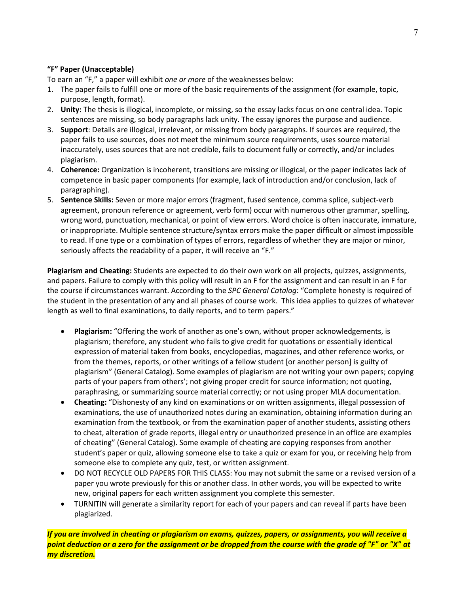#### **"F" Paper (Unacceptable)**

To earn an "F," a paper will exhibit *one or more* of the weaknesses below:

- 1. The paper fails to fulfill one or more of the basic requirements of the assignment (for example, topic, purpose, length, format).
- 2. **Unity:** The thesis is illogical, incomplete, or missing, so the essay lacks focus on one central idea. Topic sentences are missing, so body paragraphs lack unity. The essay ignores the purpose and audience.
- 3. **Support**: Details are illogical, irrelevant, or missing from body paragraphs. If sources are required, the paper fails to use sources, does not meet the minimum source requirements, uses source material inaccurately, uses sources that are not credible, fails to document fully or correctly, and/or includes plagiarism.
- 4. **Coherence:** Organization is incoherent, transitions are missing or illogical, or the paper indicates lack of competence in basic paper components (for example, lack of introduction and/or conclusion, lack of paragraphing).
- 5. **Sentence Skills:** Seven or more major errors (fragment, fused sentence, comma splice, subject-verb agreement, pronoun reference or agreement, verb form) occur with numerous other grammar, spelling, wrong word, punctuation, mechanical, or point of view errors. Word choice is often inaccurate, immature, or inappropriate. Multiple sentence structure/syntax errors make the paper difficult or almost impossible to read. If one type or a combination of types of errors, regardless of whether they are major or minor, seriously affects the readability of a paper, it will receive an "F."

**Plagiarism and Cheating:** Students are expected to do their own work on all projects, quizzes, assignments, and papers. Failure to comply with this policy will result in an F for the assignment and can result in an F for the course if circumstances warrant. According to the *SPC General Catalog*: "Complete honesty is required of the student in the presentation of any and all phases of course work. This idea applies to quizzes of whatever length as well to final examinations, to daily reports, and to term papers."

- **Plagiarism:** "Offering the work of another as one's own, without proper acknowledgements, is plagiarism; therefore, any student who fails to give credit for quotations or essentially identical expression of material taken from books, encyclopedias, magazines, and other reference works, or from the themes, reports, or other writings of a fellow student [or another person] is guilty of plagiarism" (General Catalog). Some examples of plagiarism are not writing your own papers; copying parts of your papers from others'; not giving proper credit for source information; not quoting, paraphrasing, or summarizing source material correctly; or not using proper MLA documentation.
- **Cheating:** "Dishonesty of any kind on examinations or on written assignments, illegal possession of examinations, the use of unauthorized notes during an examination, obtaining information during an examination from the textbook, or from the examination paper of another students, assisting others to cheat, alteration of grade reports, illegal entry or unauthorized presence in an office are examples of cheating" (General Catalog). Some example of cheating are copying responses from another student's paper or quiz, allowing someone else to take a quiz or exam for you, or receiving help from someone else to complete any quiz, test, or written assignment.
- DO NOT RECYCLE OLD PAPERS FOR THIS CLASS: You may not submit the same or a revised version of a paper you wrote previously for this or another class. In other words, you will be expected to write new, original papers for each written assignment you complete this semester.
- TURNITIN will generate a similarity report for each of your papers and can reveal if parts have been plagiarized.

*If you are involved in cheating or plagiarism on exams, quizzes, papers, or assignments, you will receive a point deduction or a zero for the assignment or be dropped from the course with the grade of "F" or "X" at my discretion.*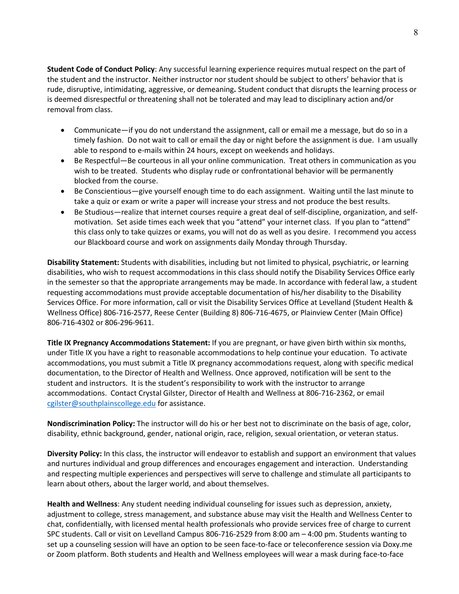**Student Code of Conduct Policy**: Any successful learning experience requires mutual respect on the part of the student and the instructor. Neither instructor nor student should be subject to others' behavior that is rude, disruptive, intimidating, aggressive, or demeaning**.** Student conduct that disrupts the learning process or is deemed disrespectful or threatening shall not be tolerated and may lead to disciplinary action and/or removal from class.

- Communicate—if you do not understand the assignment, call or email me a message, but do so in a timely fashion. Do not wait to call or email the day or night before the assignment is due. I am usually able to respond to e-mails within 24 hours, except on weekends and holidays.
- Be Respectful—Be courteous in all your online communication. Treat others in communication as you wish to be treated. Students who display rude or confrontational behavior will be permanently blocked from the course.
- Be Conscientious—give yourself enough time to do each assignment. Waiting until the last minute to take a quiz or exam or write a paper will increase your stress and not produce the best results.
- Be Studious—realize that internet courses require a great deal of self-discipline, organization, and selfmotivation. Set aside times each week that you "attend" your internet class. If you plan to "attend" this class only to take quizzes or exams, you will not do as well as you desire. I recommend you access our Blackboard course and work on assignments daily Monday through Thursday.

**Disability Statement:** Students with disabilities, including but not limited to physical, psychiatric, or learning disabilities, who wish to request accommodations in this class should notify the Disability Services Office early in the semester so that the appropriate arrangements may be made. In accordance with federal law, a student requesting accommodations must provide acceptable documentation of his/her disability to the Disability Services Office. For more information, call or visit the Disability Services Office at Levelland (Student Health & Wellness Office) 806-716-2577, Reese Center (Building 8) 806-716-4675, or Plainview Center (Main Office) 806-716-4302 or 806-296-9611.

**Title IX Pregnancy Accommodations Statement:** If you are pregnant, or have given birth within six months, under Title IX you have a right to reasonable accommodations to help continue your education. To activate accommodations, you must submit a Title IX pregnancy accommodations request, along with specific medical documentation, to the Director of Health and Wellness. Once approved, notification will be sent to the student and instructors. It is the student's responsibility to work with the instructor to arrange accommodations. Contact Crystal Gilster, Director of Health and Wellness at 806-716-2362, or email [cgilster@southplainscollege.edu](mailto:cgilster@southplainscollege.edu) for assistance.

**Nondiscrimination Policy:** The instructor will do his or her best not to discriminate on the basis of age, color, disability, ethnic background, gender, national origin, race, religion, sexual orientation, or veteran status.

**Diversity Policy:** In this class, the instructor will endeavor to establish and support an environment that values and nurtures individual and group differences and encourages engagement and interaction. Understanding and respecting multiple experiences and perspectives will serve to challenge and stimulate all participants to learn about others, about the larger world, and about themselves.

**Health and Wellness**: Any student needing individual counseling for issues such as depression, anxiety, adjustment to college, stress management, and substance abuse may visit the Health and Wellness Center to chat, confidentially, with licensed mental health professionals who provide services free of charge to current SPC students. Call or visit on Levelland Campus 806-716-2529 from 8:00 am – 4:00 pm. Students wanting to set up a counseling session will have an option to be seen face-to-face or teleconference session via Doxy.me or Zoom platform. Both students and Health and Wellness employees will wear a mask during face-to-face